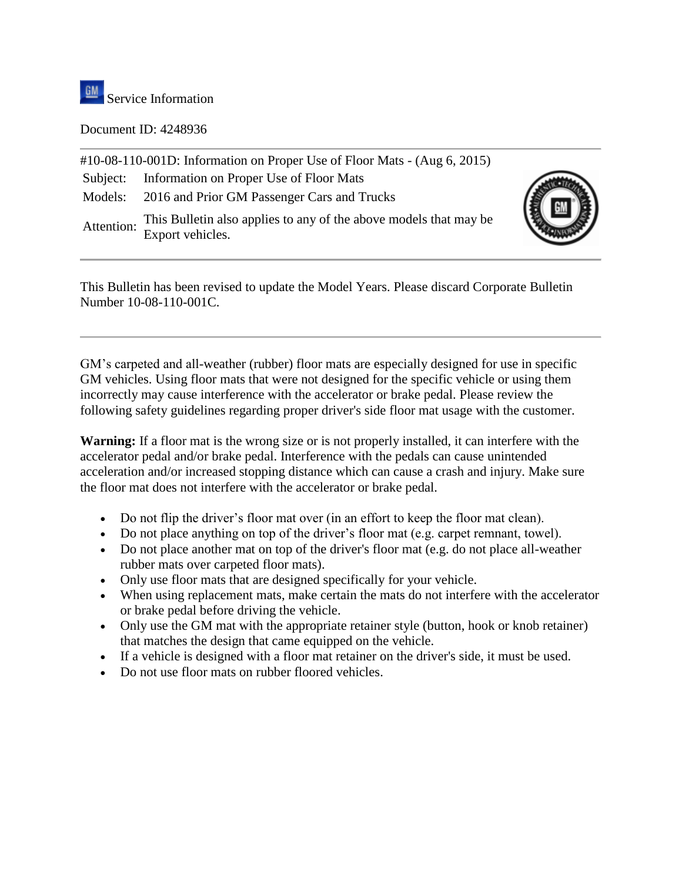

Document ID: 4248936

#10-08-110-001D: Information on Proper Use of Floor Mats - (Aug 6, 2015) Subject: Information on Proper Use of Floor Mats Models: 2016 and Prior GM Passenger Cars and Trucks Attention: This Bulletin also applies to any of the above models that may be Export vehicles.



This Bulletin has been revised to update the Model Years. Please discard Corporate Bulletin Number 10-08-110-001C.

GM's carpeted and all-weather (rubber) floor mats are especially designed for use in specific GM vehicles. Using floor mats that were not designed for the specific vehicle or using them incorrectly may cause interference with the accelerator or brake pedal. Please review the following safety guidelines regarding proper driver's side floor mat usage with the customer.

**Warning:** If a floor mat is the wrong size or is not properly installed, it can interfere with the accelerator pedal and/or brake pedal. Interference with the pedals can cause unintended acceleration and/or increased stopping distance which can cause a crash and injury. Make sure the floor mat does not interfere with the accelerator or brake pedal.

- Do not flip the driver's floor mat over (in an effort to keep the floor mat clean).
- Do not place anything on top of the driver's floor mat (e.g. carpet remnant, towel).
- Do not place another mat on top of the driver's floor mat (e.g. do not place all-weather rubber mats over carpeted floor mats).
- Only use floor mats that are designed specifically for your vehicle.
- When using replacement mats, make certain the mats do not interfere with the accelerator or brake pedal before driving the vehicle.
- Only use the GM mat with the appropriate retainer style (button, hook or knob retainer) that matches the design that came equipped on the vehicle.
- If a vehicle is designed with a floor mat retainer on the driver's side, it must be used.
- Do not use floor mats on rubber floored vehicles.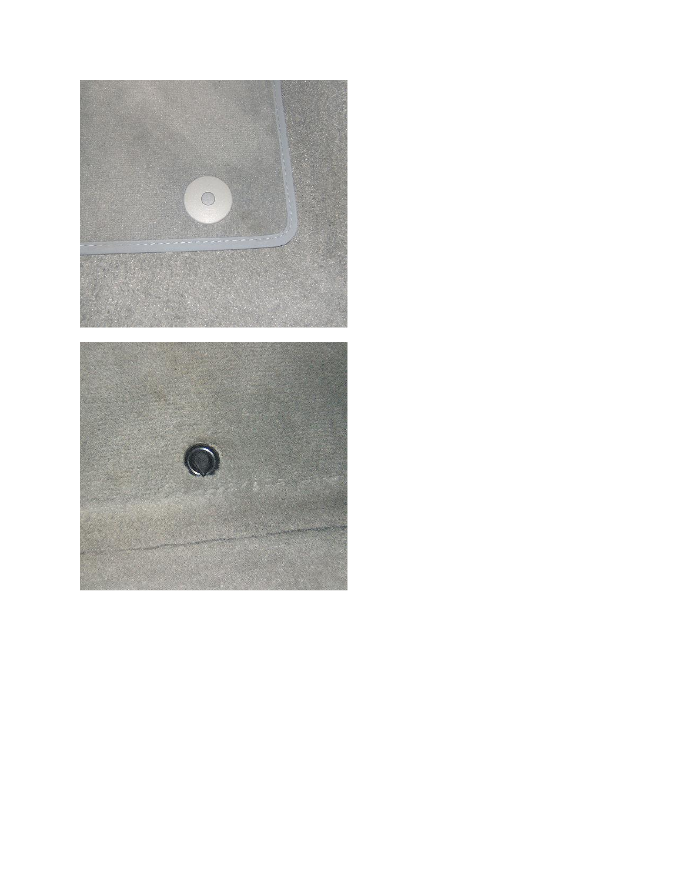

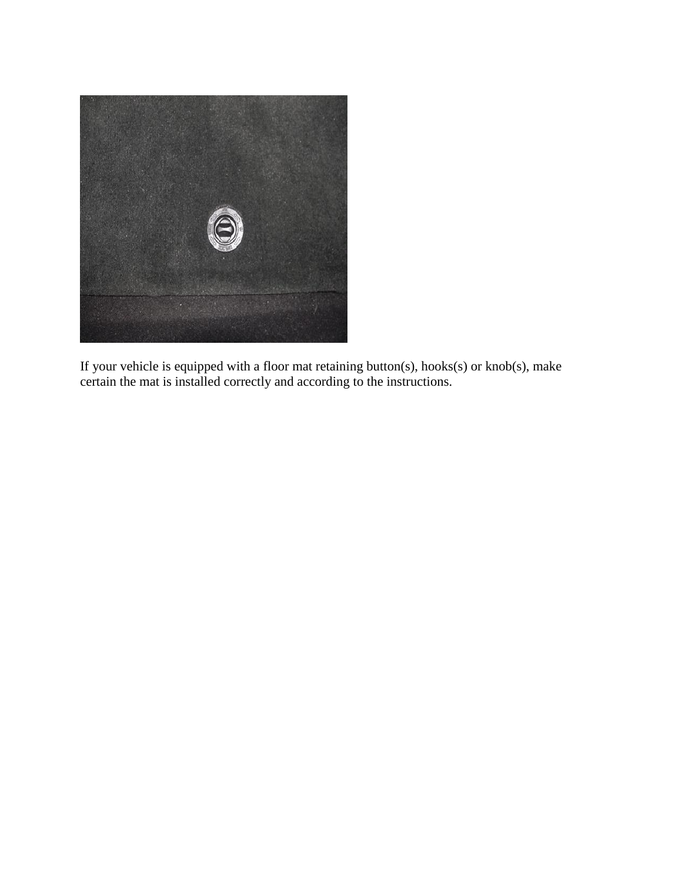

If your vehicle is equipped with a floor mat retaining button(s), hooks(s) or knob(s), make certain the mat is installed correctly and according to the instructions.